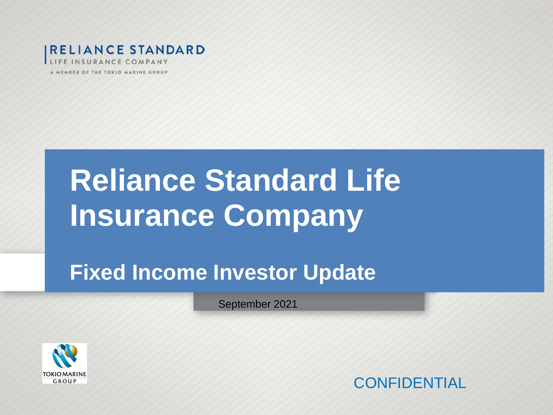

# **Reliance Standard Life Insurance Company**

## **Fixed Income Investor Update**

September 2021



**CONFIDENTIAL**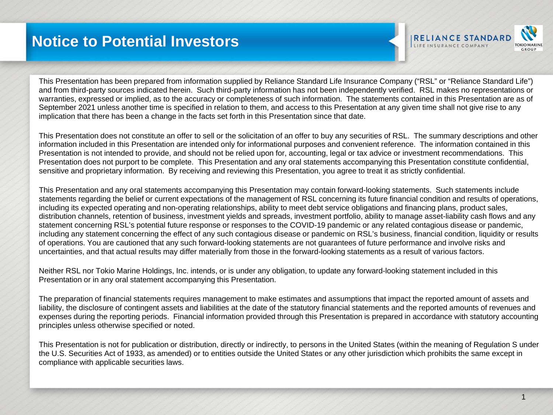### **Notice to Potential Investors**



This Presentation has been prepared from information supplied by Reliance Standard Life Insurance Company ("RSL" or "Reliance Standard Life") and from third-party sources indicated herein. Such third-party information has not been independently verified. RSL makes no representations or warranties, expressed or implied, as to the accuracy or completeness of such information. The statements contained in this Presentation are as of September 2021 unless another time is specified in relation to them, and access to this Presentation at any given time shall not give rise to any implication that there has been a change in the facts set forth in this Presentation since that date.

This Presentation does not constitute an offer to sell or the solicitation of an offer to buy any securities of RSL. The summary descriptions and other information included in this Presentation are intended only for informational purposes and convenient reference. The information contained in this Presentation is not intended to provide, and should not be relied upon for, accounting, legal or tax advice or investment recommendations. This Presentation does not purport to be complete. This Presentation and any oral statements accompanying this Presentation constitute confidential, sensitive and proprietary information. By receiving and reviewing this Presentation, you agree to treat it as strictly confidential.

This Presentation and any oral statements accompanying this Presentation may contain forward-looking statements. Such statements include statements regarding the belief or current expectations of the management of RSL concerning its future financial condition and results of operations, including its expected operating and non-operating relationships, ability to meet debt service obligations and financing plans, product sales, distribution channels, retention of business, investment yields and spreads, investment portfolio, ability to manage asset-liability cash flows and any statement concerning RSL's potential future response or responses to the COVID-19 pandemic or any related contagious disease or pandemic, including any statement concerning the effect of any such contagious disease or pandemic on RSL's business, financial condition, liquidity or results of operations. You are cautioned that any such forward-looking statements are not guarantees of future performance and involve risks and uncertainties, and that actual results may differ materially from those in the forward-looking statements as a result of various factors.

Neither RSL nor Tokio Marine Holdings, Inc. intends, or is under any obligation, to update any forward-looking statement included in this Presentation or in any oral statement accompanying this Presentation.

The preparation of financial statements requires management to make estimates and assumptions that impact the reported amount of assets and liability, the disclosure of contingent assets and liabilities at the date of the statutory financial statements and the reported amounts of revenues and expenses during the reporting periods. Financial information provided through this Presentation is prepared in accordance with statutory accounting principles unless otherwise specified or noted.

This Presentation is not for publication or distribution, directly or indirectly, to persons in the United States (within the meaning of Regulation S under the U.S. Securities Act of 1933, as amended) or to entities outside the United States or any other jurisdiction which prohibits the same except in compliance with applicable securities laws.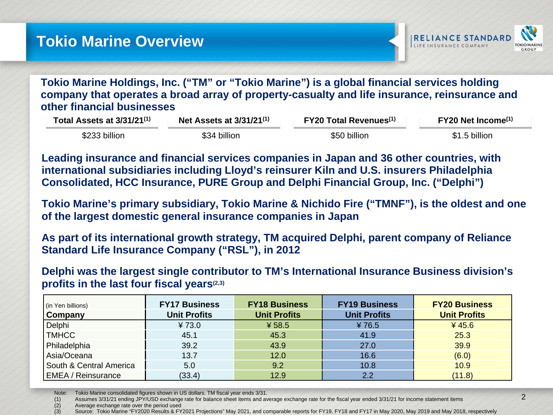

**Tokio Marine Holdings, Inc. ("TM" or "Tokio Marine") is a global financial services holding company that operates a broad array of property-casualty and life insurance, reinsurance and other financial businesses**

| Total Assets at 3/31/21 <sup>(1)</sup> | Net Assets at $3/31/21^{(1)}$ |              | $FY20$ Net Income <sup>(1)</sup> |  |
|----------------------------------------|-------------------------------|--------------|----------------------------------|--|
| \$233 billion                          | \$34 billion                  | \$50 billion | \$1.5 billion                    |  |

**Leading insurance and financial services companies in Japan and 36 other countries, with international subsidiaries including Lloyd's reinsurer Kiln and U.S. insurers Philadelphia Consolidated, HCC Insurance, PURE Group and Delphi Financial Group, Inc. ("Delphi")**

**Tokio Marine's primary subsidiary, Tokio Marine & Nichido Fire ("TMNF"), is the oldest and one of the largest domestic general insurance companies in Japan**

**As part of its international growth strategy, TM acquired Delphi, parent company of Reliance Standard Life Insurance Company ("RSL"), in 2012**

**Delphi was the largest single contributor to TM's International Insurance Business division's profits in the last four fiscal years(2,3)**

| (in Yen billions)         | <b>FY17 Business</b> | <b>FY18 Business</b> | <b>FY19 Business</b> | <b>FY20 Business</b> |
|---------------------------|----------------------|----------------------|----------------------|----------------------|
| <b>Company</b>            | <b>Unit Profits</b>  | <b>Unit Profits</b>  | <b>Unit Profits</b>  | <b>Unit Profits</b>  |
| Delphi                    | 473.0                | ¥ 58.5               | ¥76.5                | 445.6                |
| <b>TMHCC</b>              | 45.1                 | 45.3                 | 41.9                 | 25.3                 |
| Philadelphia              | 39.2                 | 43.9                 | 27.0                 | 39.9                 |
| Asia/Oceana               | 13.7                 | 12.0                 | 16.6                 | (6.0)                |
| South & Central America   | 5.0                  | 9.2                  | 10.8                 | 10.9                 |
| <b>EMEA / Reinsurance</b> | (33.4)               | 12.9                 | 2.2                  | (11.8)               |

Note: Tokio Marine consolidated figures shown in US dollars. TM fiscal year ends 3/31.

(1) Assumes 3/31/21 ending JPY/USD exchange rate for balance sheet items and average exchange rate for the fiscal year ended 3/31/21 for income statement items

(2) Average exchange rate over the period used<br>(3) Source: Tokio Marine "FY2020 Results & FY

Source: Tokio Marine "FY2020 Results & FY2021 Projections" May 2021, and comparable reports for FY19, FY18 and FY17 in May 2020, May 2019 and May 2018, respectively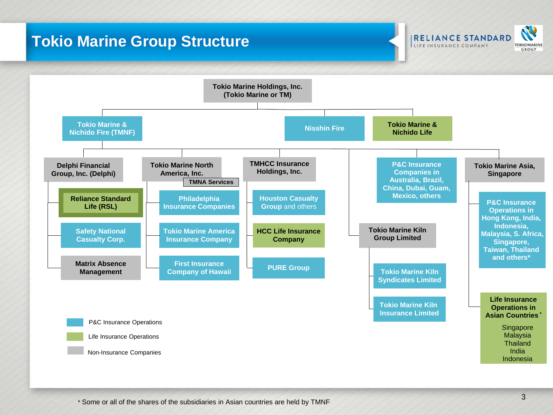### **Tokio Marine Group Structure**



**IRELIANCE STANDARD** LIFE INSURANCE COMPANY

**TOKIO MARINE** GROUP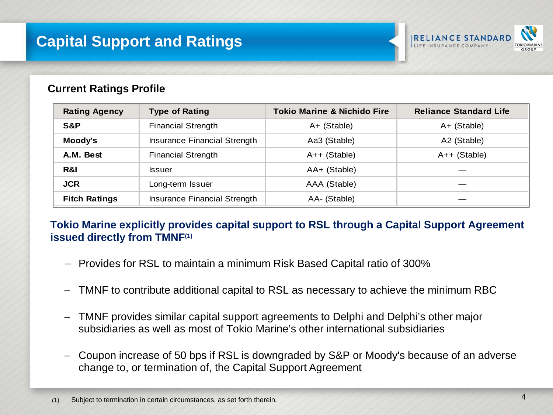### **Capital Support and Ratings**



#### **Current Ratings Profile**

| <b>Rating Agency</b> | <b>Type of Rating</b>        | <b>Tokio Marine &amp; Nichido Fire</b> | <b>Reliance Standard Life</b> |
|----------------------|------------------------------|----------------------------------------|-------------------------------|
| S&P                  | <b>Financial Strength</b>    | A+ (Stable)                            | A+ (Stable)                   |
| Moody's              | Insurance Financial Strength | Aa3 (Stable)                           | A2 (Stable)                   |
| A.M. Best            | <b>Financial Strength</b>    | $A++$ (Stable)                         | A++ (Stable)                  |
| R&I                  | <b>Issuer</b>                | AA+ (Stable)                           |                               |
| <b>JCR</b>           | Long-term Issuer             | AAA (Stable)                           |                               |
| <b>Fitch Ratings</b> | Insurance Financial Strength | AA- (Stable)                           |                               |

#### **Tokio Marine explicitly provides capital support to RSL through a Capital Support Agreement issued directly from TMNF(1)**

- − Provides for RSL to maintain a minimum Risk Based Capital ratio of 300%
- TMNF to contribute additional capital to RSL as necessary to achieve the minimum RBC
- − TMNF provides similar capital support agreements to Delphi and Delphi's other major subsidiaries as well as most of Tokio Marine's other international subsidiaries
- − Coupon increase of 50 bps if RSL is downgraded by S&P or Moody's because of an adverse change to, or termination of, the Capital Support Agreement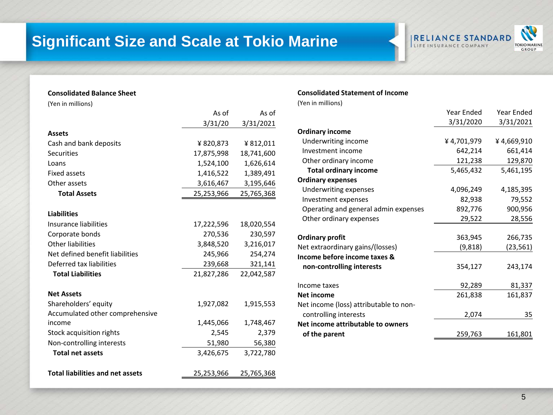### **Significant Size and Scale at Tokio Marine**

#### **IRELIANCE STANDARD** LIFE INSURANCE COMPANY



#### **Consolidated Balance Sheet**

(Yen in millions)

|                                         | As of      | As of      |
|-----------------------------------------|------------|------------|
|                                         | 3/31/20    | 3/31/2021  |
| <b>Assets</b>                           |            |            |
| Cash and bank deposits                  | ¥ 820,873  | ¥812,011   |
| <b>Securities</b>                       | 17,875,998 | 18,741,600 |
| Loans                                   | 1,524,100  | 1,626,614  |
| Fixed assets                            | 1,416,522  | 1,389,491  |
| Other assets                            | 3,616,467  | 3,195,646  |
| <b>Total Assets</b>                     | 25,253,966 | 25,765,368 |
| <b>Liabilities</b>                      |            |            |
| Insurance liabilities                   | 17,222,596 | 18,020,554 |
| Corporate bonds                         | 270,536    | 230,597    |
| <b>Other liabilities</b>                | 3,848,520  | 3,216,017  |
| Net defined benefit liabilities         | 245,966    | 254,274    |
| Deferred tax liabilities                | 239,668    | 321,141    |
| <b>Total Liabilities</b>                | 21,827,286 | 22,042,587 |
| <b>Net Assets</b>                       |            |            |
| Shareholders' equity                    | 1,927,082  | 1,915,553  |
| Accumulated other comprehensive         |            |            |
| income                                  | 1,445,066  | 1,748,467  |
| Stock acquisition rights                | 2,545      | 2,379      |
| Non-controlling interests               | 51,980     | 56,380     |
| <b>Total net assets</b>                 | 3,426,675  | 3,722,780  |
| <b>Total liabilities and net assets</b> | 25,253,966 | 25,765,368 |

#### **Consolidated Statement of Income**

(Yen in millions)

| <b>Year Ended</b> | Year Ended                                                               |
|-------------------|--------------------------------------------------------------------------|
| 3/31/2020         | 3/31/2021                                                                |
|                   |                                                                          |
| ¥4,701,979        | ¥4,669,910                                                               |
| 642,214           | 661,414                                                                  |
| 121,238           | 129,870                                                                  |
| 5,465,432         | 5,461,195                                                                |
|                   |                                                                          |
|                   | 4,185,395                                                                |
| 82,938            | 79,552                                                                   |
| 892,776           | 900,956                                                                  |
| 29,522            | 28,556                                                                   |
|                   | 266,735                                                                  |
|                   | (23,561)                                                                 |
|                   |                                                                          |
| 354,127           | 243,174                                                                  |
|                   | 81,337                                                                   |
|                   | 161,837                                                                  |
|                   |                                                                          |
|                   | 35                                                                       |
|                   |                                                                          |
|                   | 161,801                                                                  |
|                   | 4,096,249<br>363,945<br>(9,818)<br>92,289<br>261,838<br>2,074<br>259,763 |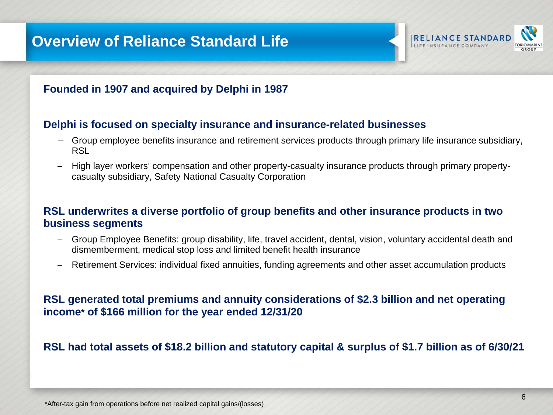### **Overview of Reliance Standard Life**





#### **Delphi is focused on specialty insurance and insurance-related businesses**

- − Group employee benefits insurance and retirement services products through primary life insurance subsidiary, RSL
- − High layer workers' compensation and other property-casualty insurance products through primary propertycasualty subsidiary, Safety National Casualty Corporation

#### **RSL underwrites a diverse portfolio of group benefits and other insurance products in two business segments**

- − Group Employee Benefits: group disability, life, travel accident, dental, vision, voluntary accidental death and dismemberment, medical stop loss and limited benefit health insurance
- − Retirement Services: individual fixed annuities, funding agreements and other asset accumulation products

#### **RSL generated total premiums and annuity considerations of \$2.3 billion and net operating income\* of \$166 million for the year ended 12/31/20**

#### **RSL had total assets of \$18.2 billion and statutory capital & surplus of \$1.7 billion as of 6/30/21**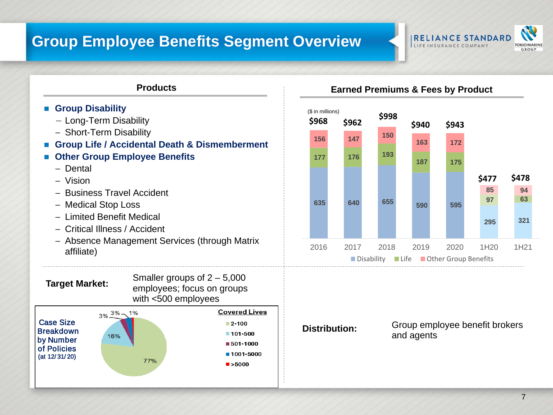### **Group Employee Benefits Segment Overview**





- **Group Disability**
	- − Long-Term Disability
	- − Short-Term Disability
- **Group Life / Accidental Death & Dismemberment**
- **Other Group Employee Benefits**
	- − Dental
	- − Vision
	- − Business Travel Accident
	- − Medical Stop Loss
	- − Limited Benefit Medical
	- − Critical Illness / Accident
	- − Absence Management Services (through Matrix affiliate)

**Target Market:** Smaller groups of 2 – 5,000 employees; focus on groups with <500 employees



#### **Products Earned Premiums & Fees by Product**



**Distribution:** Group employee benefit brokers and agents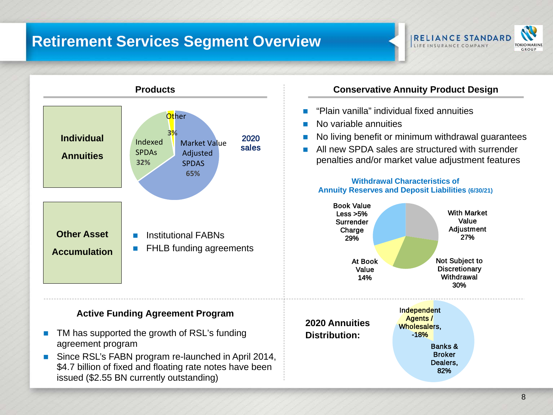### **Retirement Services Segment Overview**





 Since RSL's FABN program re-launched in April 2014, \$4.7 billion of fixed and floating rate notes have been issued (\$2.55 BN currently outstanding)

- "Plain vanilla" individual fixed annuities
- No variable annuities
- No living benefit or minimum withdrawal guarantees
- **All new SPDA sales are structured with surrender** penalties and/or market value adjustment features

**Withdrawal Characteristics of Annuity Reserves and Deposit Liabilities (6/30/21)**



Banks & **Broker** Dealers, 82%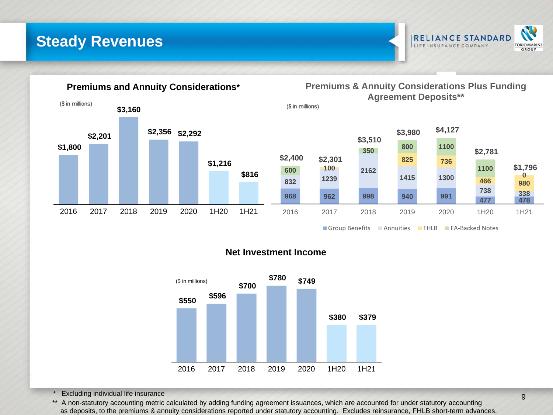**Steady Revenues**





#### **Net Investment Income**



**Excluding individual life insurance** 

\*\* A non-statutory accounting metric calculated by adding funding agreement issuances, which are accounted for under statutory accounting as deposits, to the premiums & annuity considerations reported under statutory accounting. Excludes reinsurance, FHLB short-term advances.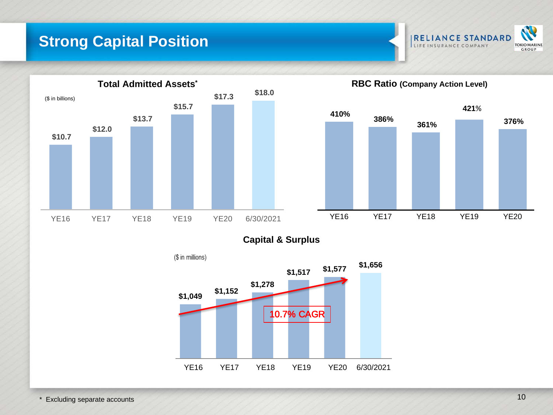### **Strong Capital Position**





**Capital & Surplus**

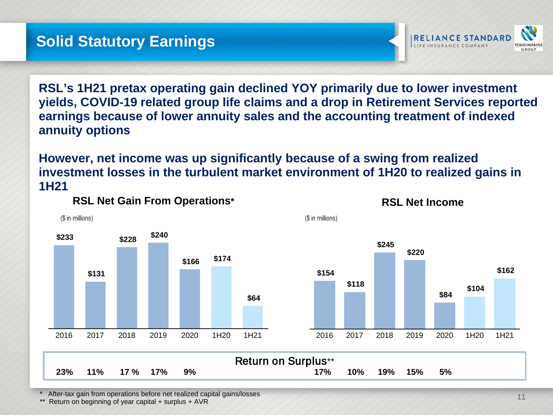

**RSL's 1H21 pretax operating gain declined YOY primarily due to lower investment yields, COVID-19 related group life claims and a drop in Retirement Services reported earnings because of lower annuity sales and the accounting treatment of indexed annuity options** 

**However, net income was up significantly because of a swing from realized investment losses in the turbulent market environment of 1H20 to realized gains in 1H21**

(\$ in millions)



**RSL Net Gain From Operations\***



**RSL Net Income**

Return on Surplus\*\* **23% 11% 17 % 17% 9% 17% 10% 19% 15% 5%**

After-tax gain from operations before net realized capital gains/losses

Return on beginning of year capital + surplus + AVR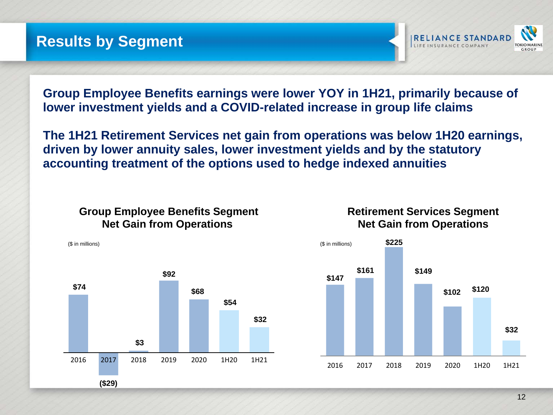

**Group Employee Benefits earnings were lower YOY in 1H21, primarily because of lower investment yields and a COVID-related increase in group life claims**

**The 1H21 Retirement Services net gain from operations was below 1H20 earnings, driven by lower annuity sales, lower investment yields and by the statutory accounting treatment of the options used to hedge indexed annuities**

#### **Group Employee Benefits Segment Net Gain from Operations**





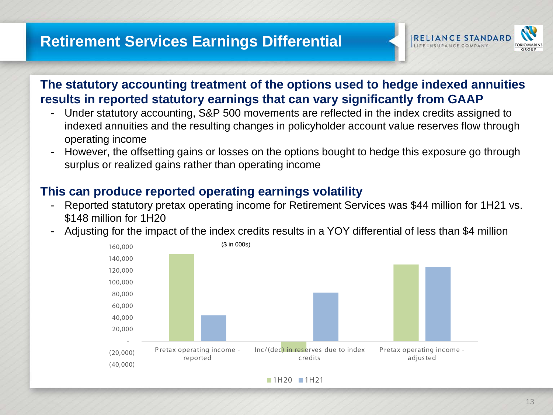

### **The statutory accounting treatment of the options used to hedge indexed annuities results in reported statutory earnings that can vary significantly from GAAP**

- Under statutory accounting, S&P 500 movements are reflected in the index credits assigned to indexed annuities and the resulting changes in policyholder account value reserves flow through operating income
- However, the offsetting gains or losses on the options bought to hedge this exposure go through surplus or realized gains rather than operating income

### **This can produce reported operating earnings volatility**

- Reported statutory pretax operating income for Retirement Services was \$44 million for 1H21 vs. \$148 million for 1H20
- Adjusting for the impact of the index credits results in a YOY differential of less than \$4 million



 $1H20$  1H21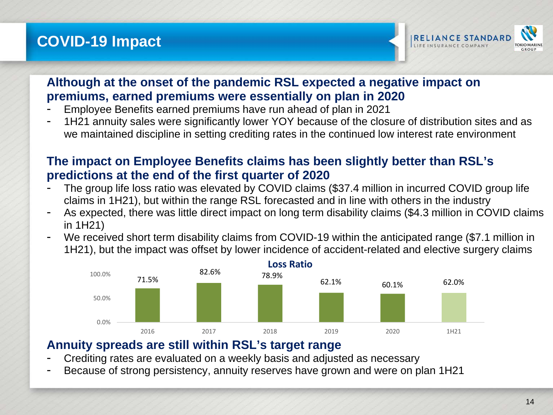### **COVID-19 Impact**



### **Although at the onset of the pandemic RSL expected a negative impact on premiums, earned premiums were essentially on plan in 2020**

- Employee Benefits earned premiums have run ahead of plan in 2021
- 1H21 annuity sales were significantly lower YOY because of the closure of distribution sites and as we maintained discipline in setting crediting rates in the continued low interest rate environment

### **The impact on Employee Benefits claims has been slightly better than RSL's predictions at the end of the first quarter of 2020**

- The group life loss ratio was elevated by COVID claims (\$37.4 million in incurred COVID group life claims in 1H21), but within the range RSL forecasted and in line with others in the industry
- As expected, there was little direct impact on long term disability claims (\$4.3 million in COVID claims in 1H21)
- We received short term disability claims from COVID-19 within the anticipated range (\$7.1 million in 1H21), but the impact was offset by lower incidence of accident-related and elective surgery claims



#### **Annuity spreads are still within RSL's target range**

- Crediting rates are evaluated on a weekly basis and adjusted as necessary
- Because of strong persistency, annuity reserves have grown and were on plan 1H21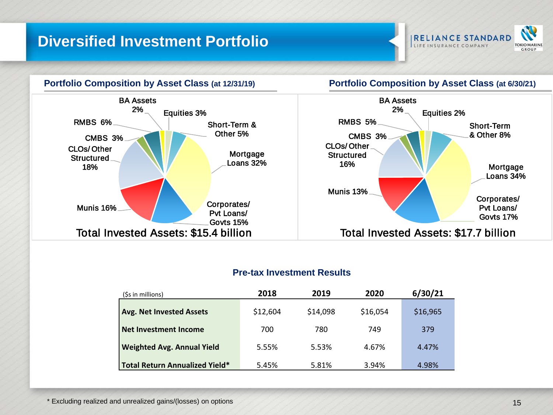### **Diversified Investment Portfolio**





#### **Pre-tax Investment Results**

| (\$s in millions)                     | 2018     | 2019     | 2020     | 6/30/21  |
|---------------------------------------|----------|----------|----------|----------|
| <b>Avg. Net Invested Assets</b>       | \$12,604 | \$14,098 | \$16,054 | \$16,965 |
| <b>Net Investment Income</b>          | 700      | 780      | 749      | 379      |
| <b>Weighted Avg. Annual Yield</b>     | 5.55%    | 5.53%    | 4.67%    | 4.47%    |
| <b>Total Return Annualized Yield*</b> | 5.45%    | 5.81%    | 3.94%    | 4.98%    |

\* Excluding realized and unrealized gains/(losses) on options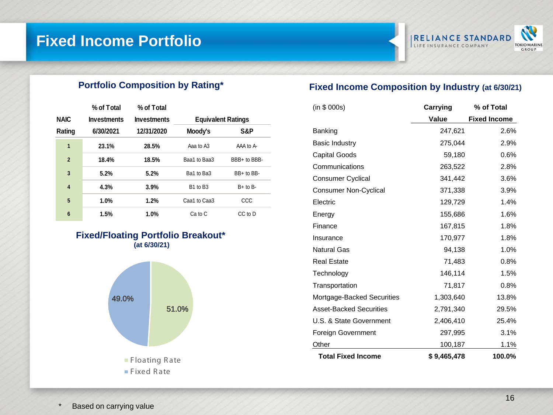### **Fixed Income Portfolio**



#### **Portfolio Composition by Rating\***

|                | % of Total         | % of Total         |                                  |              |
|----------------|--------------------|--------------------|----------------------------------|--------------|
| <b>NAIC</b>    | <b>Investments</b> | <b>Investments</b> | <b>Equivalent Ratings</b>        |              |
| Rating         | 6/30/2021          | 12/31/2020         | Moody's                          | S&P          |
| 1              | 23.1%              | 28.5%              | Aaa to A3                        | AAA to A-    |
| $\overline{2}$ | 18.4%              | 18.5%              | Baa1 to Baa3                     | BBB+ to BBB- |
| 3              | 5.2%               | 5.2%               | Ba1 to Ba3                       | BB+ to BB-   |
| 4              | 4.3%               | 3.9%               | B <sub>1</sub> to B <sub>3</sub> | $B+$ to $B-$ |
| 5              | 1.0%               | 1.2%               | Caa1 to Caa3                     | CCC          |
| 6              | 1.5%               | 1.0%               | Ca to C                          | CC to D      |

#### **Fixed/Floating Portfolio Breakout\* (at 6/30/21)**



#### **Fixed Income Composition by Industry (at 6/30/21)**

| (in \$ 000s)                   | Carrying    | % of Total          |  |
|--------------------------------|-------------|---------------------|--|
|                                | Value       | <b>Fixed Income</b> |  |
| Banking                        | 247,621     | 2.6%                |  |
| <b>Basic Industry</b>          | 275,044     | 2.9%                |  |
| Capital Goods                  | 59,180      | 0.6%                |  |
| Communications                 | 263,522     | 2.8%                |  |
| <b>Consumer Cyclical</b>       | 341,442     | 3.6%                |  |
| <b>Consumer Non-Cyclical</b>   | 371,338     | 3.9%                |  |
| Electric                       | 129,729     | 1.4%                |  |
| Energy                         | 155,686     | 1.6%                |  |
| Finance                        | 167,815     | 1.8%                |  |
| Insurance                      | 170,977     | 1.8%                |  |
| <b>Natural Gas</b>             | 94,138      | 1.0%                |  |
| <b>Real Estate</b>             | 71,483      | 0.8%                |  |
| Technology                     | 146,114     | 1.5%                |  |
| Transportation                 | 71,817      | 0.8%                |  |
| Mortgage-Backed Securities     | 1,303,640   | 13.8%               |  |
| <b>Asset-Backed Securities</b> | 2,791,340   | 29.5%               |  |
| U.S. & State Government        | 2,406,410   | 25.4%               |  |
| <b>Foreign Government</b>      | 297,995     | 3.1%                |  |
| Other                          | 100,187     | 1.1%                |  |
| <b>Total Fixed Income</b>      | \$9,465,478 | 100.0%              |  |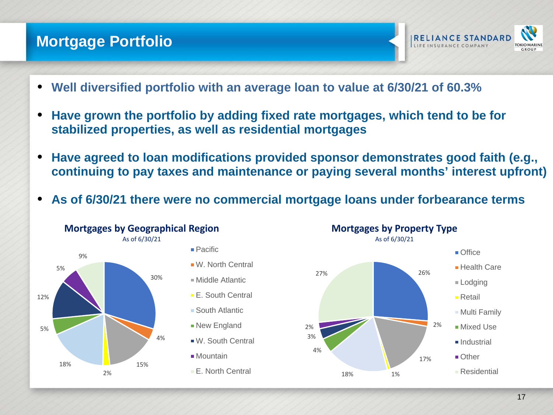### **Mortgage Portfolio**



- **Well diversified portfolio with an average loan to value at 6/30/21 of 60.3%**
- **Have grown the portfolio by adding fixed rate mortgages, which tend to be for stabilized properties, as well as residential mortgages**
- **Have agreed to loan modifications provided sponsor demonstrates good faith (e.g., continuing to pay taxes and maintenance or paying several months' interest upfront)**
- **As of 6/30/21 there were no commercial mortgage loans under forbearance terms**



**Mortgages by Geographical Region**



- **E.** South Central
- South Atlantic
- **New England**
- W. South Central
- Mountain
- **E.** North Central

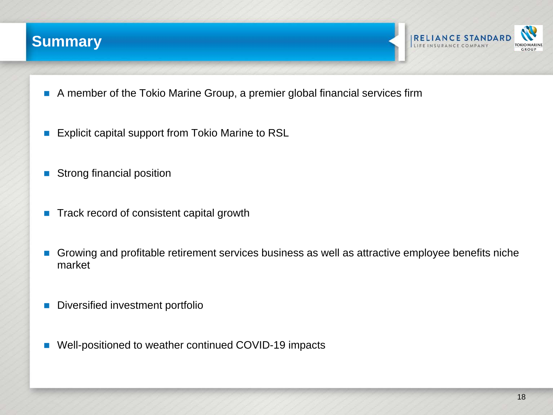



- A member of the Tokio Marine Group, a premier global financial services firm
- **Explicit capital support from Tokio Marine to RSL**
- Strong financial position
- Track record of consistent capital growth
- Growing and profitable retirement services business as well as attractive employee benefits niche market
- Diversified investment portfolio
- Well-positioned to weather continued COVID-19 impacts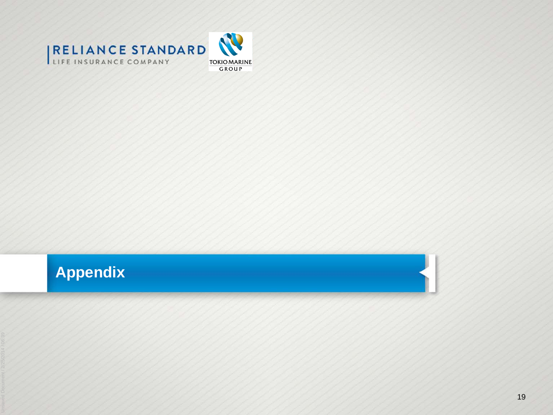



## **Appendix**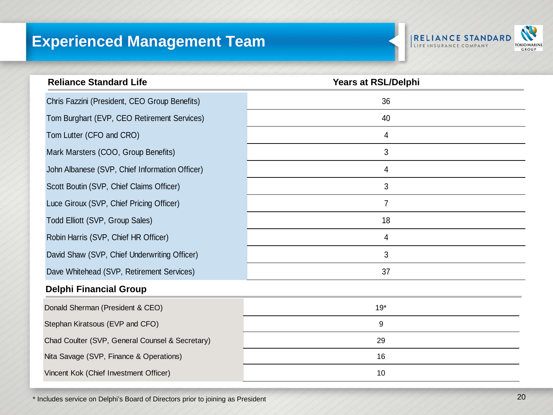### **Experienced Management Team**



| <b>Reliance Standard Life</b>                   | Years at RSL/Delphi |
|-------------------------------------------------|---------------------|
| Chris Fazzini (President, CEO Group Benefits)   | 36                  |
| Tom Burghart (EVP, CEO Retirement Services)     | 40                  |
| Tom Lutter (CFO and CRO)                        | 4                   |
| Mark Marsters (COO, Group Benefits)             | 3                   |
| John Albanese (SVP, Chief Information Officer)  | 4                   |
| Scott Boutin (SVP, Chief Claims Officer)        | 3                   |
| Luce Giroux (SVP, Chief Pricing Officer)        | 7                   |
| Todd Elliott (SVP, Group Sales)                 | 18                  |
| Robin Harris (SVP, Chief HR Officer)            | $\overline{4}$      |
| David Shaw (SVP, Chief Underwriting Officer)    | 3                   |
| Dave Whitehead (SVP, Retirement Services)       | 37                  |
| <b>Delphi Financial Group</b>                   |                     |
| Donald Sherman (President & CEO)                | $19*$               |
| Stephan Kiratsous (EVP and CFO)                 | 9                   |
| Chad Coulter (SVP, General Counsel & Secretary) | 29                  |
| Nita Savage (SVP, Finance & Operations)         | 16                  |
| Vincent Kok (Chief Investment Officer)          | 10                  |

\* Includes service on Delphi's Board of Directors prior to joining as President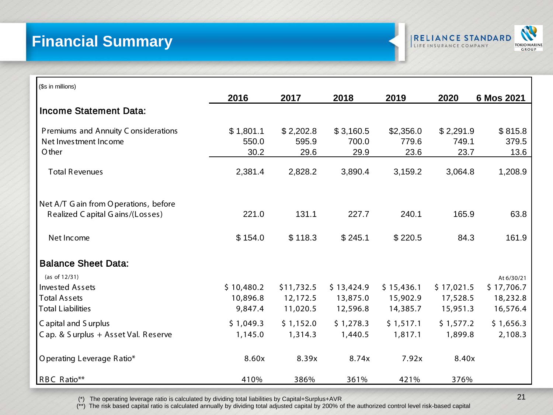### **Financial Summary**



| (\$s in millions)                                             |                    |                    |                    |                    |                    |                  |
|---------------------------------------------------------------|--------------------|--------------------|--------------------|--------------------|--------------------|------------------|
|                                                               | 2016               | 2017               | 2018               | 2019               | 2020               | 6 Mos 2021       |
| <b>Income Statement Data:</b>                                 |                    |                    |                    |                    |                    |                  |
| Premiums and Annuity C onsiderations<br>Net Investment Income | \$1,801.1<br>550.0 | \$2,202.8<br>595.9 | \$3,160.5<br>700.0 | \$2,356.0<br>779.6 | \$2,291.9<br>749.1 | \$815.8<br>379.5 |
| O ther                                                        | 30.2               | 29.6               | 29.9               | 23.6               | 23.7               | 13.6             |
| <b>Total Revenues</b>                                         | 2,381.4            | 2,828.2            | 3,890.4            | 3,159.2            | 3,064.8            | 1,208.9          |
| Net A/T G ain from O perations, before                        |                    |                    |                    |                    |                    |                  |
| Realized C apital G ains/(Losses)                             | 221.0              | 131.1              | 227.7              | 240.1              | 165.9              | 63.8             |
| Net Income                                                    | \$154.0            | \$118.3            | \$245.1            | \$220.5            | 84.3               | 161.9            |
| <b>Balance Sheet Data:</b>                                    |                    |                    |                    |                    |                    |                  |
| (as of $12/31$ )                                              |                    |                    |                    |                    |                    | At 6/30/21       |
| <b>Invested Assets</b>                                        | \$10,480.2         | \$11,732.5         | \$13,424.9         | \$15,436.1         | \$17,021.5         | \$17,706.7       |
| <b>Total Assets</b>                                           | 10,896.8           | 12,172.5           | 13,875.0           | 15,902.9           | 17,528.5           | 18,232.8         |
| <b>Total Liabilities</b>                                      | 9,847.4            | 11,020.5           | 12,596.8           | 14,385.7           | 15,951.3           | 16,576.4         |
| C apital and S urplus                                         | \$1,049.3          | \$1,152.0          | \$1,278.3          | \$1,517.1          | \$1,577.2          | \$1,656.3        |
| Cap. & Surplus + Asset Val. Reserve                           | 1,145.0            | 1,314.3            | 1,440.5            | 1,817.1            | 1,899.8            | 2,108.3          |
| O perating Leverage Ratio*                                    | 8.60x              | 8.39x              | 8.74x              | 7.92x              | 8.40x              |                  |
| RBC Ratio**                                                   | 410%               | 386%               | 361%               | 421%               | 376%               |                  |

(\*) The operating leverage ratio is calculated by dividing total liabilities by Capital+Surplus+AVR 21

(\*\*) The risk based capital ratio is calculated annually by dividing total adjusted capital by 200% of the authorized control level risk-based capital